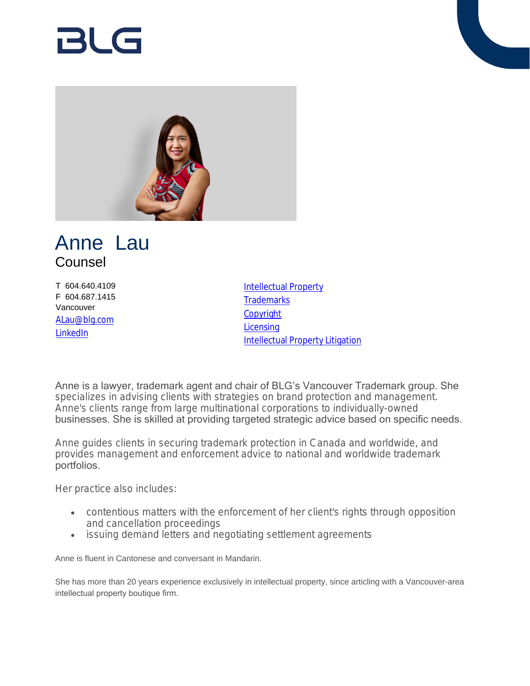# RI G



## Anne Lau Counsel

T 604.640.4109 F 604.687.1415 Vancouver [ALau@blg.com](mailto:ALau@blg.com) [LinkedIn](http://ca.linkedin.com/pub/anne-lau/7/3b6/134)

[Intellectual Property](https://www.blg.com/en/services/practice-areas/intellectual-property) **[Trademarks](https://www.blg.com/en/services/practice-areas/intellectual-property/trademarks) [Copyright](https://www.blg.com/en/services/practice-areas/intellectual-property/copyright) [Licensing](https://www.blg.com/en/services/practice-areas/intellectual-property/licensing)** [Intellectual Property Litigation](https://www.blg.com/en/services/practice-areas/disputes/ip-disputes-litigation)

Anne is a lawyer, trademark agent and chair of BLG's Vancouver Trademark group. She specializes in advising clients with strategies on brand protection and management. Anne's clients range from large multinational corporations to individually-owned businesses. She is skilled at providing targeted strategic advice based on specific needs.

Anne guides clients in securing trademark protection in Canada and worldwide, and provides management and enforcement advice to national and worldwide trademark portfolios.

Her practice also includes:

- contentious matters with the enforcement of her client's rights through opposition and cancellation proceedings
- issuing demand letters and negotiating settlement agreements

Anne is fluent in Cantonese and conversant in Mandarin.

She has more than 20 years experience exclusively in intellectual property, since articling with a Vancouver-area intellectual property boutique firm.